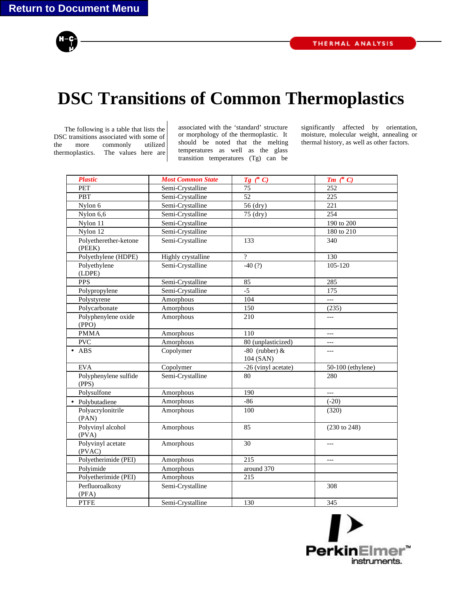

## **DSC Transitions of Common Thermoplastics**

The following is a table that lists the DSC transitions associated with some of the more commonly utilized thermoplastics. The values here are associated with the 'standard' structure or morphology of the thermoplastic. It should be noted that the melting temperatures as well as the glass transition temperatures (Tg) can be

significantly affected by orientation, moisture, molecular weight, annealing or thermal history, as well as other factors.

| <b>Plastic</b>                  | <b>Most Common State</b> | $Tg$ (° C)                      | $Tm$ (° C)              |
|---------------------------------|--------------------------|---------------------------------|-------------------------|
| PET                             | Semi-Crystalline         | 75                              | 252                     |
| PBT                             | Semi-Crystalline         | 52                              | 225                     |
| Nylon 6                         | Semi-Crystalline         | 56 (dry)                        | 221                     |
| Nylon $6,\overline{6}$          | Semi-Crystalline         | 75 (dry)                        | 254                     |
| Nylon 11                        | Semi-Crystalline         |                                 | 190 to 200              |
| Nylon 12                        | Semi-Crystalline         |                                 | 180 to 210              |
| Polyetherether-ketone<br>(PEEK) | Semi-Crystalline         | 133                             | 340                     |
| Polyethylene (HDPE)             | Highly crystalline       | $\gamma$                        | 130                     |
| Polyethylene<br>(LDPE)          | Semi-Crystalline         | $-40(?)$                        | 105-120                 |
| <b>PPS</b>                      | Semi-Crystalline         | 85                              | 285                     |
| Polypropylene                   | Semi-Crystalline         | $-5$                            | 175                     |
| Polystyrene                     | Amorphous                | 104                             | $\overline{a}$          |
| Polycarbonate                   | Amorphous                | 150                             | (235)                   |
| Polyphenylene oxide<br>(PPO)    | Amorphous                | 210                             | $---$                   |
| <b>PMMA</b>                     | Amorphous                | 110                             | $---$                   |
| <b>PVC</b>                      | Amorphous                | 80 (unplasticized)              | $\overline{a}$          |
| $\bullet$ ABS                   | Copolymer                | $-80$ (rubber) $&$<br>104 (SAN) | $---$                   |
| <b>EVA</b>                      | Copolymer                | -26 (vinyl acetate)             | 50-100 (ethylene)       |
| Polyphenylene sulfide<br>(PPS)  | Semi-Crystalline         | 80                              | 280                     |
| Polysulfone                     | Amorphous                | 190                             | $---$                   |
| · Polybutadiene                 | Amorphous                | $-86$                           | $(-20)$                 |
| Polyacrylonitrile<br>(PAN)      | Amorphous                | 100                             | (320)                   |
| Polyvinyl alcohol<br>(PVA)      | Amorphous                | 85                              | $(230 \text{ to } 248)$ |
| Polyvinyl acetate<br>(PVAC)     | Amorphous                | 30                              |                         |
| Polyetherimide (PEI)            | Amorphous                | 215                             | $\overline{a}$          |
| Polyimide                       | Amorphous                | around 370                      |                         |
| Polyetherimide (PEI)            | Amorphous                | 215                             |                         |
| Perfluoroalkoxy<br>(PFA)        | Semi-Crystalline         |                                 | 308                     |
| <b>PTFE</b>                     | Semi-Crystalline         | 130                             | 345                     |